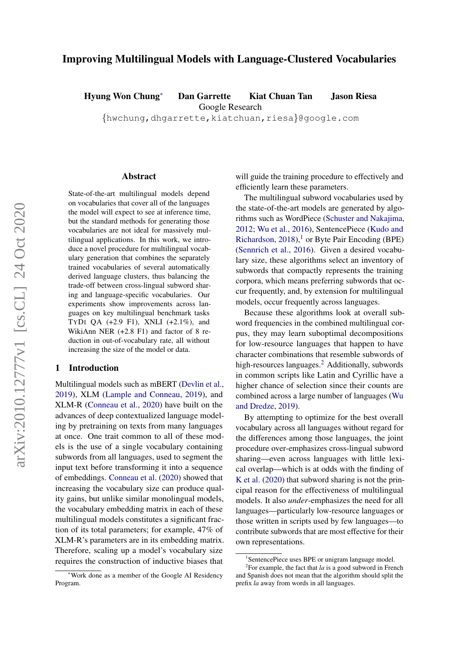# Improving Multilingual Models with Language-Clustered Vocabularies

Hyung Won Chung<sup>∗</sup> Dan Garrette Kiat Chuan Tan Jason Riesa

Google Research

{hwchung,dhgarrette,kiatchuan,riesa}@google.com

#### Abstract

State-of-the-art multilingual models depend on vocabularies that cover all of the languages the model will expect to see at inference time, but the standard methods for generating those vocabularies are not ideal for massively multilingual applications. In this work, we introduce a novel procedure for multilingual vocabulary generation that combines the separately trained vocabularies of several automatically derived language clusters, thus balancing the trade-off between cross-lingual subword sharing and language-specific vocabularies. Our experiments show improvements across languages on key multilingual benchmark tasks TYDI QA (+2.9 F1), XNLI (+2.1%), and WikiAnn NER (+2.8 F1) and factor of 8 reduction in out-of-vocabulary rate, all without increasing the size of the model or data.

## <span id="page-0-2"></span>1 Introduction

Multilingual models such as mBERT [\(Devlin et al.,](#page-5-0) [2019\)](#page-5-0), XLM [\(Lample and Conneau,](#page-5-1) [2019\)](#page-5-1), and XLM-R [\(Conneau et al.,](#page-5-2) [2020\)](#page-5-2) have built on the advances of deep contextualized language modeling by pretraining on texts from many languages at once. One trait common to all of these models is the use of a single vocabulary containing subwords from all languages, used to segment the input text before transforming it into a sequence of embeddings. [Conneau et al.](#page-5-2) [\(2020\)](#page-5-2) showed that increasing the vocabulary size can produce quality gains, but unlike similar monolingual models, the vocabulary embedding matrix in each of these multilingual models constitutes a significant fraction of its total parameters; for example, 47% of XLM-R's parameters are in its embedding matrix. Therefore, scaling up a model's vocabulary size requires the construction of inductive biases that will guide the training procedure to effectively and efficiently learn these parameters.

The multilingual subword vocabularies used by the state-of-the-art models are generated by algorithms such as WordPiece [\(Schuster and Nakajima,](#page-6-0) [2012;](#page-6-0) [Wu et al.,](#page-6-1) [2016\)](#page-6-1), SentencePiece [\(Kudo and](#page-5-3) [Richardson,](#page-5-3)  $2018$  $2018$  $2018$ ),<sup>1</sup> or Byte Pair Encoding (BPE) [\(Sennrich et al.,](#page-6-2) [2016\)](#page-6-2). Given a desired vocabulary size, these algorithms select an inventory of subwords that compactly represents the training corpora, which means preferring subwords that occur frequently, and, by extension for multilingual models, occur frequently across languages.

Because these algorithms look at overall subword frequencies in the combined multilingual corpus, they may learn suboptimal decompositions for low-resource languages that happen to have character combinations that resemble subwords of high-resources languages.<sup>[2](#page-0-1)</sup> Additionally, subwords in common scripts like Latin and Cyrillic have a higher chance of selection since their counts are combined across a large number of languages [\(Wu](#page-6-3) [and Dredze,](#page-6-3) [2019\)](#page-6-3).

By attempting to optimize for the best overall vocabulary across all languages without regard for the differences among those languages, the joint procedure over-emphasizes cross-lingual subword sharing—even across languages with little lexical overlap—which is at odds with the finding of [K et al.](#page-5-4) [\(2020\)](#page-5-4) that subword sharing is not the principal reason for the effectiveness of multilingual models. It also *under*-emphasizes the need for all languages—particularly low-resource languages or those written in scripts used by few languages—to contribute subwords that are most effective for their own representations.

<sup>∗</sup>Work done as a member of the Google AI Residency Program.

<span id="page-0-1"></span><span id="page-0-0"></span><sup>&</sup>lt;sup>1</sup>SentencePiece uses BPE or unigram language model.

<sup>&</sup>lt;sup>2</sup>For example, the fact that  $la$  is a good subword in French and Spanish does not mean that the algorithm should split the prefix *la* away from words in all languages.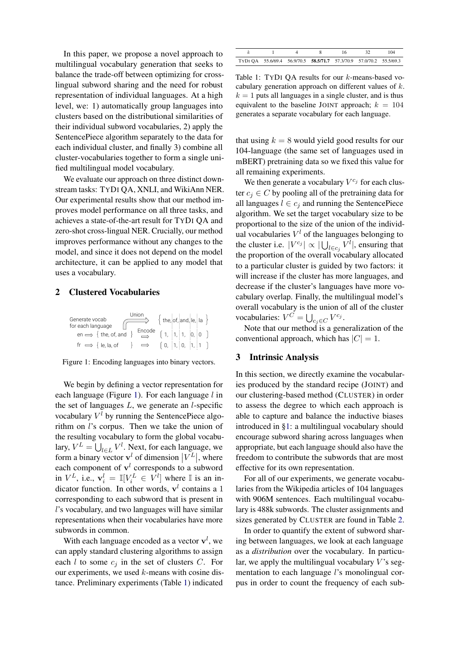In this paper, we propose a novel approach to multilingual vocabulary generation that seeks to balance the trade-off between optimizing for crosslingual subword sharing and the need for robust representation of individual languages. At a high level, we: 1) automatically group languages into clusters based on the distributional similarities of their individual subword vocabularies, 2) apply the SentencePiece algorithm separately to the data for each individual cluster, and finally 3) combine all cluster-vocabularies together to form a single unified multilingual model vocabulary.

We evaluate our approach on three distinct downstream tasks: TYDI QA, XNLI, and WikiAnn NER. Our experimental results show that our method improves model performance on all three tasks, and achieves a state-of-the-art result for TYDI QA and zero-shot cross-lingual NER. Crucially, our method improves performance without any changes to the model, and since it does not depend on the model architecture, it can be applied to any model that uses a vocabulary.

## 2 Clustered Vocabularies

<span id="page-1-0"></span>

Figure 1: Encoding languages into binary vectors.

We begin by defining a vector representation for each language (Figure [1\)](#page-1-0). For each language  $l$  in the set of languages  $L$ , we generate an  $l$ -specific vocabulary  $V^l$  by running the SentencePiece algorithm on l's corpus. Then we take the union of the resulting vocabulary to form the global vocabulary,  $V^L = \bigcup_{l \in L} V^l$ . Next, for each language, we form a binary vector  $\mathbf{v}^l$  of dimension  $|V^L|$ , where each component of  $v<sup>l</sup>$  corresponds to a subword in  $V^L$ , i.e.,  $\mathbf{v}_i^l = \mathbb{I}[V_i^L \in V^l]$  where  $\mathbb{I}$  is an indicator function. In other words,  $v<sup>l</sup>$  contains a 1 corresponding to each subword that is present in l's vocabulary, and two languages will have similar representations when their vocabularies have more subwords in common.

With each language encoded as a vector  $\mathbf{v}^l$ , we can apply standard clustering algorithms to assign each  $l$  to some  $c_j$  in the set of clusters  $C$ . For our experiments, we used  $k$ -means with cosine distance. Preliminary experiments (Table [1\)](#page-1-1) indicated

<span id="page-1-1"></span>

|                                                                     |  |  | 104 |
|---------------------------------------------------------------------|--|--|-----|
| TYDI OA 55.6/69.4 56.9/70.5 58.5/71.7 57.3/70.9 57.0/70.2 55.5/69.3 |  |  |     |

Table 1: TYDI QA results for our k-means-based vocabulary generation approach on different values of k.  $k = 1$  puts all languages in a single cluster, and is thus equivalent to the baseline JOINT approach;  $k = 104$ generates a separate vocabulary for each language.

that using  $k = 8$  would yield good results for our 104-language (the same set of languages used in mBERT) pretraining data so we fixed this value for all remaining experiments.

We then generate a vocabulary  $V^{c_j}$  for each cluster  $c_i \in C$  by pooling all of the pretraining data for all languages  $l \in c_i$  and running the SentencePiece algorithm. We set the target vocabulary size to be proportional to the size of the union of the individual vocabularies  $V<sup>l</sup>$  of the languages belonging to the cluster i.e.  $|V^{c_j}| \propto |\bigcup_{l \in c_j} V^l|$ , ensuring that the proportion of the overall vocabulary allocated to a particular cluster is guided by two factors: it will increase if the cluster has more languages, and decrease if the cluster's languages have more vocabulary overlap. Finally, the multilingual model's overall vocabulary is the union of all of the cluster vocabularies:  $V^C = \bigcup_{c_j \in C} V^{c_j}$ .

Note that our method is a generalization of the conventional approach, which has  $|C| = 1$ .

## 3 Intrinsic Analysis

In this section, we directly examine the vocabularies produced by the standard recipe (JOINT) and our clustering-based method (CLUSTER) in order to assess the degree to which each approach is able to capture and balance the inductive biases introduced in [§1:](#page-0-2) a multilingual vocabulary should encourage subword sharing across languages when appropriate, but each language should also have the freedom to contribute the subwords that are most effective for its own representation.

For all of our experiments, we generate vocabularies from the Wikipedia articles of 104 languages with 906M sentences. Each multilingual vocabulary is 488k subwords. The cluster assignments and sizes generated by CLUSTER are found in Table [2.](#page-2-0)

In order to quantify the extent of subword sharing between languages, we look at each language as a *distribution* over the vocabulary. In particular, we apply the multilingual vocabulary  $V$ 's segmentation to each language l's monolingual corpus in order to count the frequency of each sub-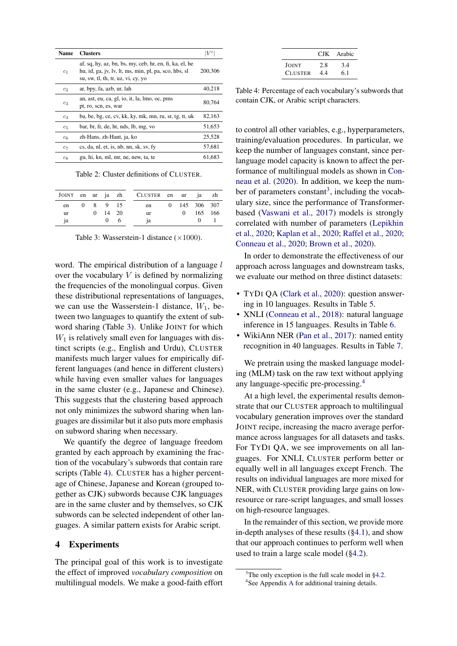<span id="page-2-0"></span>

| Name           | <b>Clusters</b>                                                                                                                                        |         |
|----------------|--------------------------------------------------------------------------------------------------------------------------------------------------------|---------|
| c <sub>1</sub> | af, sq, hy, az, bn, bs, my, ceb, hr, en, fi, ka, el, he<br>hu, id, ga, jv, lv, lt, ms, min, pl, pa, sco, hbs, sl<br>su, sw, tl, th, tr, uz, vi, cy, yo | 200,306 |
| c <sub>2</sub> | ar, bpy, fa, azb, ur, lah                                                                                                                              | 40,218  |
| $c_3$          | an, ast, eu, ca, gl, io, it, la, lmo, oc, pms<br>pt, ro, scn, es, war                                                                                  | 80.764  |
| $c_4$          | ba, be, bg, ce, cv, kk, ky, mk, mn, ru, sr, tg, tt, uk                                                                                                 | 82,163  |
| $c_5$          | bar, br, fr, de, ht, nds, lb, mg, vo                                                                                                                   | 51.653  |
| $c_6$          | zh-Hans, zh-Hant, ja, ko                                                                                                                               | 25,528  |
| $c_7$          | cs, da, nl, et, is, nb, nn, sk, sv, fy                                                                                                                 | 57,681  |
| $c_8$          | gu, hi, kn, ml, mr, ne, new, ta, te                                                                                                                    | 61,683  |

Table 2: Cluster definitions of CLUSTER.

<span id="page-2-1"></span>

|           |  |               | JOINT en ur ja zh CLUSTER en ur ja zh |  |               |  |
|-----------|--|---------------|---------------------------------------|--|---------------|--|
| en        |  | 0 8 9 15      | en                                    |  | 0 145 306 307 |  |
| <b>ur</b> |  | $0 \t14 \t20$ | ur                                    |  | 0 165 166     |  |
| ja        |  | $\bigcup$     | 1a                                    |  |               |  |

Table 3: Wasserstein-1 distance  $(\times 1000)$ .

word. The empirical distribution of a language l over the vocabulary  $V$  is defined by normalizing the frequencies of the monolingual corpus. Given these distributional representations of languages, we can use the Wasserstein-1 distance,  $W_1$ , between two languages to quantify the extent of subword sharing (Table [3\)](#page-2-1). Unlike JOINT for which  $W_1$  is relatively small even for languages with distinct scripts (e.g., English and Urdu), CLUSTER manifests much larger values for empirically different languages (and hence in different clusters) while having even smaller values for languages in the same cluster (e.g., Japanese and Chinese). This suggests that the clustering based approach not only minimizes the subword sharing when languages are dissimilar but it also puts more emphasis on subword sharing when necessary.

We quantify the degree of language freedom granted by each approach by examining the fraction of the vocabulary's subwords that contain rare scripts (Table [4\)](#page-2-2). CLUSTER has a higher percentage of Chinese, Japanese and Korean (grouped together as CJK) subwords because CJK languages are in the same cluster and by themselves, so CJK subwords can be selected independent of other languages. A similar pattern exists for Arabic script.

#### 4 Experiments

The principal goal of this work is to investigate the effect of improved *vocabulary composition* on multilingual models. We make a good-faith effort

|                |     | CJK Arabic |
|----------------|-----|------------|
| JOINT          | 2.8 | 3.4        |
| <b>CLUSTER</b> | 4.4 | 6.1        |

<span id="page-2-2"></span>Table 4: Percentage of each vocabulary's subwords that contain CJK, or Arabic script characters.

to control all other variables, e.g., hyperparameters, training/evaluation procedures. In particular, we keep the number of languages constant, since perlanguage model capacity is known to affect the performance of multilingual models as shown in [Con](#page-5-2)[neau et al.](#page-5-2) [\(2020\)](#page-5-2). In addition, we keep the num-ber of parameters constant<sup>[3](#page-2-3)</sup>, including the vocabulary size, since the performance of Transformerbased [\(Vaswani et al.,](#page-6-4) [2017\)](#page-6-4) models is strongly correlated with number of parameters [\(Lepikhin](#page-5-5) [et al.,](#page-5-5) [2020;](#page-5-5) [Kaplan et al.,](#page-5-6) [2020;](#page-5-6) [Raffel et al.,](#page-5-7) [2020;](#page-5-7) [Conneau et al.,](#page-5-2) [2020;](#page-5-2) [Brown et al.,](#page-5-8) [2020\)](#page-5-8).

In order to demonstrate the effectiveness of our approach across languages and downstream tasks, we evaluate our method on three distinct datasets:

- TYDI QA [\(Clark et al.,](#page-5-9) [2020\)](#page-5-9): question answering in 10 languages. Results in Table [5.](#page-3-0)
- XNLI [\(Conneau et al.,](#page-5-10) [2018\)](#page-5-10): natural language inference in 15 languages. Results in Table [6.](#page-3-1)
- WikiAnn NER [\(Pan et al.,](#page-5-11) [2017\)](#page-5-11): named entity recognition in 40 languages. Results in Table [7.](#page-4-0)

We pretrain using the masked language modeling (MLM) task on the raw text without applying any language-specific pre-processing.[4](#page-2-4)

At a high level, the experimental results demonstrate that our CLUSTER approach to multilingual vocabulary generation improves over the standard JOINT recipe, increasing the macro average performance across languages for all datasets and tasks. For TYDI QA, we see improvements on all languages. For XNLI, CLUSTER perform better or equally well in all languages except French. The results on individual languages are more mixed for NER, with CLUSTER providing large gains on lowresource or rare-script languages, and small losses on high-resource languages.

In the remainder of this section, we provide more in-depth analyses of these results ([§4.1\)](#page-3-2), and show that our approach continues to perform well when used to train a large scale model ([§4.2\)](#page-4-1).

<span id="page-2-4"></span><span id="page-2-3"></span> $3$ The only exception is the full scale model in [§4.2.](#page-4-1) 4 See Appendix [A](#page-7-0) for additional training details.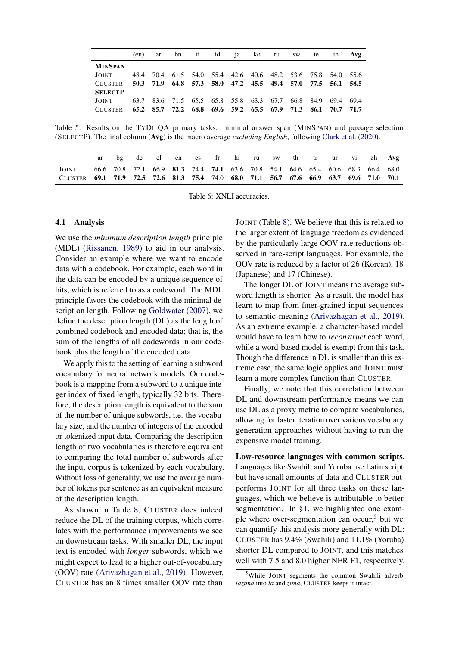<span id="page-3-0"></span>

|                |      |  | (en) ar bn fi id ja ko ru sw te |  |  |                                                             | th Avg |
|----------------|------|--|---------------------------------|--|--|-------------------------------------------------------------|--------|
| <b>MINSPAN</b> |      |  |                                 |  |  |                                                             |        |
| JOINT          | 48.4 |  |                                 |  |  | 70.4 61.5 54.0 55.4 42.6 40.6 48.2 53.6 75.8 54.0 55.6      |        |
| <b>CLUSTER</b> |      |  |                                 |  |  | 50.3 71.9 64.8 57.3 58.0 47.2 45.5 49.4 57.0 77.5 56.1 58.5 |        |
| <b>SELECTP</b> |      |  |                                 |  |  |                                                             |        |
| JOINT          | 63.7 |  |                                 |  |  | 83.6 71.5 65.5 65.8 55.8 63.3 67.7 66.8 84.9 69.4 69.4      |        |
| <b>CLUSTER</b> |      |  |                                 |  |  | 65.2 85.7 72.2 68.8 69.6 59.2 65.5 67.9 71.3 86.1 70.7 71.7 |        |

Table 5: Results on the TYDI QA primary tasks: minimal answer span (MINSPAN) and passage selection (SELECTP). The final column (Avg) is the macro average *excluding English*, following [Clark et al.](#page-5-9) [\(2020\)](#page-5-9).

<span id="page-3-1"></span>

|                                                                                         |  | de | el — | en es fr hi ru sw th tr ur vi zh Avg                                            |  |  |  |  |  |
|-----------------------------------------------------------------------------------------|--|----|------|---------------------------------------------------------------------------------|--|--|--|--|--|
| JOINT                                                                                   |  |    |      | 66.6 70.8 72.1 66.9 81.3 74.4 74.1 63.6 70.8 54.1 64.6 65.4 60.6 68.3 66.4 68.0 |  |  |  |  |  |
| CLUSTER 69.1 71.9 72.5 72.6 81.3 75.4 74.0 68.0 71.1 56.7 67.6 66.9 63.7 69.6 71.0 70.1 |  |    |      |                                                                                 |  |  |  |  |  |

Table 6: XNLI accuracies.

## <span id="page-3-2"></span>4.1 Analysis

We use the *minimum description length* principle (MDL) [\(Rissanen,](#page-6-5) [1989\)](#page-6-5) to aid in our analysis. Consider an example where we want to encode data with a codebook. For example, each word in the data can be encoded by a unique sequence of bits, which is referred to as a codeword. The MDL principle favors the codebook with the minimal description length. Following [Goldwater](#page-5-12) [\(2007\)](#page-5-12), we define the description length (DL) as the length of combined codebook and encoded data; that is, the sum of the lengths of all codewords in our codebook plus the length of the encoded data.

We apply this to the setting of learning a subword vocabulary for neural network models. Our codebook is a mapping from a subword to a unique integer index of fixed length, typically 32 bits. Therefore, the description length is equivalent to the sum of the number of unique subwords, i.e. the vocabulary size, and the number of integers of the encoded or tokenized input data. Comparing the description length of two vocabularies is therefore equivalent to comparing the total number of subwords after the input corpus is tokenized by each vocabulary. Without loss of generality, we use the average number of tokens per sentence as an equivalent measure of the description length.

As shown in Table [8,](#page-4-2) CLUSTER does indeed reduce the DL of the training corpus, which correlates with the performance improvements we see on downstream tasks. With smaller DL, the input text is encoded with *longer* subwords, which we might expect to lead to a higher out-of-vocabulary (OOV) rate [\(Arivazhagan et al.,](#page-5-13) [2019\)](#page-5-13). However, CLUSTER has an 8 times smaller OOV rate than JOINT (Table [8\)](#page-4-2). We believe that this is related to the larger extent of language freedom as evidenced by the particularly large OOV rate reductions observed in rare-script languages. For example, the OOV rate is reduced by a factor of 26 (Korean), 18 (Japanese) and 17 (Chinese).

The longer DL of JOINT means the average subword length is shorter. As a result, the model has learn to map from finer-grained input sequences to semantic meaning [\(Arivazhagan et al.,](#page-5-13) [2019\)](#page-5-13). As an extreme example, a character-based model would have to learn how to *reconstruct* each word, while a word-based model is exempt from this task. Though the difference in DL is smaller than this extreme case, the same logic applies and JOINT must learn a more complex function than CLUSTER.

Finally, we note that this correlation between DL and downstream performance means we can use DL as a proxy metric to compare vocabularies, allowing for faster iteration over various vocabulary generation approaches without having to run the expensive model training.

Low-resource languages with common scripts. Languages like Swahili and Yoruba use Latin script but have small amounts of data and CLUSTER outperforms JOINT for all three tasks on these languages, which we believe is attributable to better segmentation. In [§1,](#page-0-2) we highlighted one example where over-segmentation can occur, $5$  but we can quantify this analysis more generally with DL: CLUSTER has 9.4% (Swahili) and 11.1% (Yoruba) shorter DL compared to JOINT, and this matches well with 7.5 and 8.0 higher NER F1, respectively.

<span id="page-3-3"></span><sup>&</sup>lt;sup>5</sup>While JOINT segments the common Swahili adverb *lazima* into *la* and *zima*, CLUSTER keeps it intact.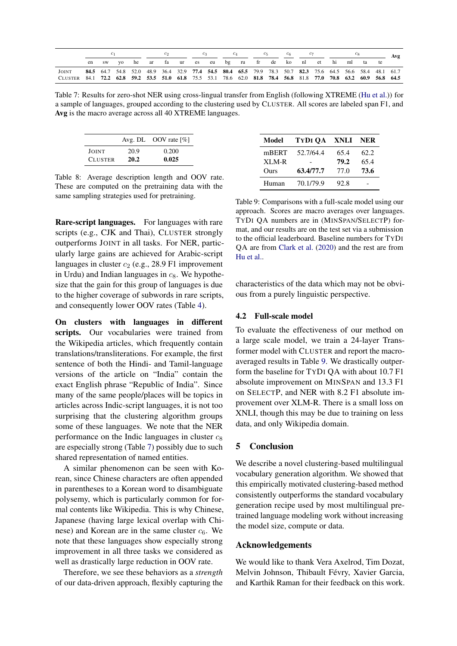<span id="page-4-0"></span>

|                                                                                                                  |    |       |  |                                           |  |  |  | $c_{5}$ | $c_6$ |  |  |                                                                                                          | Avg |
|------------------------------------------------------------------------------------------------------------------|----|-------|--|-------------------------------------------|--|--|--|---------|-------|--|--|----------------------------------------------------------------------------------------------------------|-----|
|                                                                                                                  | en | sw vo |  | he ar fa ur es eu bg ru fr de ko nl et hi |  |  |  |         |       |  |  | ml ta te                                                                                                 |     |
| JOINT                                                                                                            |    |       |  |                                           |  |  |  |         |       |  |  | 84.5 64.7 54.8 52.0 48.9 36.4 32.9 77.4 54.5 80.4 65.5 79.9 78.3 50.7 82.3 75.6 64.5 56.6 58.4 48.1 61.7 |     |
| CLUSTER 84.1 72.2 62.8 59.2 53.5 51.0 61.8 75.5 53.1 78.6 62.0 81.8 78.4 56.8 81.8 77.0 70.8 63.2 60.9 56.8 64.5 |    |       |  |                                           |  |  |  |         |       |  |  |                                                                                                          |     |

Table 7: Results for zero-shot NER using cross-lingual transfer from English (following XTREME [\(Hu et al.\)](#page-5-14)) for a sample of languages, grouped according to the clustering used by CLUSTER. All scores are labeled span F1, and Avg is the macro average across all 40 XTREME languages.

<span id="page-4-2"></span>

|                |      | Avg. DL OOV rate $\lceil \% \rceil$ |
|----------------|------|-------------------------------------|
| JOINT          | 20.9 | 0.200                               |
| <b>CLUSTER</b> | 20.2 | 0.025                               |

Table 8: Average description length and OOV rate. These are computed on the pretraining data with the same sampling strategies used for pretraining.

Rare-script languages. For languages with rare scripts (e.g., CJK and Thai), CLUSTER strongly outperforms JOINT in all tasks. For NER, particularly large gains are achieved for Arabic-script languages in cluster  $c_2$  (e.g., 28.9 F1 improvement in Urdu) and Indian languages in  $c_8$ . We hypothesize that the gain for this group of languages is due to the higher coverage of subwords in rare scripts, and consequently lower OOV rates (Table [4\)](#page-2-2).

On clusters with languages in different scripts. Our vocabularies were trained from the Wikipedia articles, which frequently contain translations/transliterations. For example, the first sentence of both the Hindi- and Tamil-language versions of the article on "India" contain the exact English phrase "Republic of India". Since many of the same people/places will be topics in articles across Indic-script languages, it is not too surprising that the clustering algorithm groups some of these languages. We note that the NER performance on the Indic languages in cluster  $c_8$ are especially strong (Table [7\)](#page-4-0) possibly due to such shared representation of named entities.

A similar phenomenon can be seen with Korean, since Chinese characters are often appended in parentheses to a Korean word to disambiguate polysemy, which is particularly common for formal contents like Wikipedia. This is why Chinese, Japanese (having large lexical overlap with Chinese) and Korean are in the same cluster  $c_6$ . We note that these languages show especially strong improvement in all three tasks we considered as well as drastically large reduction in OOV rate.

Therefore, we see these behaviors as a *strength* of our data-driven approach, flexibly capturing the

<span id="page-4-3"></span>

| Model | TYDI OA   | XNLI NER |      |
|-------|-----------|----------|------|
| mBERT | 52.7/64.4 | 65.4     | 62.2 |
| XLM-R |           | 79.2     | 65.4 |
| Ours  | 63.4/77.7 | 77.0     | 73.6 |
| Human | 70.1/79.9 | 92.8     |      |

Table 9: Comparisons with a full-scale model using our approach. Scores are macro averages over languages. TYDI QA numbers are in (MINSPAN/SELECTP) format, and our results are on the test set via a submission to the official leaderboard. Baseline numbers for TYDI QA are from [Clark et al.](#page-5-9) [\(2020\)](#page-5-9) and the rest are from [Hu et al..](#page-5-14)

characteristics of the data which may not be obvious from a purely linguistic perspective.

## <span id="page-4-1"></span>4.2 Full-scale model

To evaluate the effectiveness of our method on a large scale model, we train a 24-layer Transformer model with CLUSTER and report the macroaveraged results in Table [9.](#page-4-3) We drastically outperform the baseline for TYDI QA with about 10.7 F1 absolute improvement on MINSPAN and 13.3 F1 on SELECTP, and NER with 8.2 F1 absolute improvement over XLM-R. There is a small loss on XNLI, though this may be due to training on less data, and only Wikipedia domain.

## 5 Conclusion

We describe a novel clustering-based multilingual vocabulary generation algorithm. We showed that this empirically motivated clustering-based method consistently outperforms the standard vocabulary generation recipe used by most multilingual pretrained language modeling work without increasing the model size, compute or data.

## Acknowledgements

We would like to thank Vera Axelrod, Tim Dozat, Melvin Johnson, Thibault Févry, Xavier Garcia, and Karthik Raman for their feedback on this work.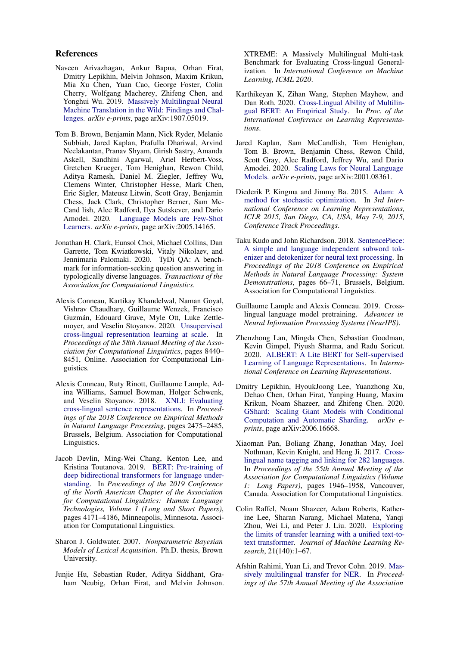#### References

- <span id="page-5-13"></span>Naveen Arivazhagan, Ankur Bapna, Orhan Firat, Dmitry Lepikhin, Melvin Johnson, Maxim Krikun, Mia Xu Chen, Yuan Cao, George Foster, Colin Cherry, Wolfgang Macherey, Zhifeng Chen, and Yonghui Wu. 2019. [Massively Multilingual Neural](http://arxiv.org/abs/1907.05019) [Machine Translation in the Wild: Findings and Chal](http://arxiv.org/abs/1907.05019)[lenges.](http://arxiv.org/abs/1907.05019) *arXiv e-prints*, page arXiv:1907.05019.
- <span id="page-5-8"></span>Tom B. Brown, Benjamin Mann, Nick Ryder, Melanie Subbiah, Jared Kaplan, Prafulla Dhariwal, Arvind Neelakantan, Pranav Shyam, Girish Sastry, Amanda Askell, Sandhini Agarwal, Ariel Herbert-Voss, Gretchen Krueger, Tom Henighan, Rewon Child, Aditya Ramesh, Daniel M. Ziegler, Jeffrey Wu, Clemens Winter, Christopher Hesse, Mark Chen, Eric Sigler, Mateusz Litwin, Scott Gray, Benjamin Chess, Jack Clark, Christopher Berner, Sam Mc-Cand lish, Alec Radford, Ilya Sutskever, and Dario Amodei. 2020. [Language Models are Few-Shot](http://arxiv.org/abs/2005.14165) [Learners.](http://arxiv.org/abs/2005.14165) *arXiv e-prints*, page arXiv:2005.14165.
- <span id="page-5-9"></span>Jonathan H. Clark, Eunsol Choi, Michael Collins, Dan Garrette, Tom Kwiatkowski, Vitaly Nikolaev, and Jennimaria Palomaki. 2020. TyDi QA: A benchmark for information-seeking question answering in typologically diverse languages. *Transactions of the Association for Computational Linguistics*.
- <span id="page-5-2"></span>Alexis Conneau, Kartikay Khandelwal, Naman Goyal, Vishrav Chaudhary, Guillaume Wenzek, Francisco Guzmán, Edouard Grave, Myle Ott, Luke Zettlemoyer, and Veselin Stoyanov. 2020. [Unsupervised](https://doi.org/10.18653/v1/2020.acl-main.747) [cross-lingual representation learning at scale.](https://doi.org/10.18653/v1/2020.acl-main.747) In *Proceedings of the 58th Annual Meeting of the Association for Computational Linguistics*, pages 8440– 8451, Online. Association for Computational Linguistics.
- <span id="page-5-10"></span>Alexis Conneau, Ruty Rinott, Guillaume Lample, Adina Williams, Samuel Bowman, Holger Schwenk, and Veselin Stoyanov. 2018. [XNLI: Evaluating](https://doi.org/10.18653/v1/D18-1269) [cross-lingual sentence representations.](https://doi.org/10.18653/v1/D18-1269) In *Proceedings of the 2018 Conference on Empirical Methods in Natural Language Processing*, pages 2475–2485, Brussels, Belgium. Association for Computational Linguistics.
- <span id="page-5-0"></span>Jacob Devlin, Ming-Wei Chang, Kenton Lee, and Kristina Toutanova. 2019. [BERT: Pre-training of](https://doi.org/10.18653/v1/N19-1423) [deep bidirectional transformers for language under](https://doi.org/10.18653/v1/N19-1423)[standing.](https://doi.org/10.18653/v1/N19-1423) In *Proceedings of the 2019 Conference of the North American Chapter of the Association for Computational Linguistics: Human Language Technologies, Volume 1 (Long and Short Papers)*, pages 4171–4186, Minneapolis, Minnesota. Association for Computational Linguistics.
- <span id="page-5-12"></span>Sharon J. Goldwater. 2007. *Nonparametric Bayesian Models of Lexical Acquisition*. Ph.D. thesis, Brown University.
- <span id="page-5-14"></span>Junjie Hu, Sebastian Ruder, Aditya Siddhant, Graham Neubig, Orhan Firat, and Melvin Johnson.

XTREME: A Massively Multilingual Multi-task Benchmark for Evaluating Cross-lingual Generalization. In *International Conference on Machine Learning, ICML 2020*.

- <span id="page-5-4"></span>Karthikeyan K, Zihan Wang, Stephen Mayhew, and Dan Roth. 2020. [Cross-Lingual Ability of Multilin](https://cogcomp.seas.upenn.edu/papers/KWMR20.pdf)[gual BERT: An Empirical Study.](https://cogcomp.seas.upenn.edu/papers/KWMR20.pdf) In *Proc. of the International Conference on Learning Representations*.
- <span id="page-5-6"></span>Jared Kaplan, Sam McCandlish, Tom Henighan, Tom B. Brown, Benjamin Chess, Rewon Child, Scott Gray, Alec Radford, Jeffrey Wu, and Dario Amodei. 2020. [Scaling Laws for Neural Language](http://arxiv.org/abs/2001.08361) [Models.](http://arxiv.org/abs/2001.08361) *arXiv e-prints*, page arXiv:2001.08361.
- <span id="page-5-16"></span>Diederik P. Kingma and Jimmy Ba. 2015. [Adam: A](http://arxiv.org/abs/1412.6980) [method for stochastic optimization.](http://arxiv.org/abs/1412.6980) In *3rd International Conference on Learning Representations, ICLR 2015, San Diego, CA, USA, May 7-9, 2015, Conference Track Proceedings*.
- <span id="page-5-3"></span>Taku Kudo and John Richardson. 2018. [SentencePiece:](https://doi.org/10.18653/v1/D18-2012) [A simple and language independent subword tok](https://doi.org/10.18653/v1/D18-2012)[enizer and detokenizer for neural text processing.](https://doi.org/10.18653/v1/D18-2012) In *Proceedings of the 2018 Conference on Empirical Methods in Natural Language Processing: System Demonstrations*, pages 66–71, Brussels, Belgium. Association for Computational Linguistics.
- <span id="page-5-1"></span>Guillaume Lample and Alexis Conneau. 2019. Crosslingual language model pretraining. *Advances in Neural Information Processing Systems (NeurIPS)*.
- <span id="page-5-15"></span>Zhenzhong Lan, Mingda Chen, Sebastian Goodman, Kevin Gimpel, Piyush Sharma, and Radu Soricut. 2020. [ALBERT: A Lite BERT for Self-supervised](https://openreview.net/forum?id=H1eA7AEtvS) [Learning of Language Representations.](https://openreview.net/forum?id=H1eA7AEtvS) In *International Conference on Learning Representations*.
- <span id="page-5-5"></span>Dmitry Lepikhin, HyoukJoong Lee, Yuanzhong Xu, Dehao Chen, Orhan Firat, Yanping Huang, Maxim Krikun, Noam Shazeer, and Zhifeng Chen. 2020. [GShard: Scaling Giant Models with Conditional](http://arxiv.org/abs/2006.16668) [Computation and Automatic Sharding.](http://arxiv.org/abs/2006.16668) *arXiv eprints*, page arXiv:2006.16668.
- <span id="page-5-11"></span>Xiaoman Pan, Boliang Zhang, Jonathan May, Joel Nothman, Kevin Knight, and Heng Ji. 2017. [Cross](https://doi.org/10.18653/v1/P17-1178)[lingual name tagging and linking for 282 languages.](https://doi.org/10.18653/v1/P17-1178) In *Proceedings of the 55th Annual Meeting of the Association for Computational Linguistics (Volume 1: Long Papers)*, pages 1946–1958, Vancouver, Canada. Association for Computational Linguistics.
- <span id="page-5-7"></span>Colin Raffel, Noam Shazeer, Adam Roberts, Katherine Lee, Sharan Narang, Michael Matena, Yanqi Zhou, Wei Li, and Peter J. Liu. 2020. [Exploring](http://jmlr.org/papers/v21/20-074.html) [the limits of transfer learning with a unified text-to](http://jmlr.org/papers/v21/20-074.html)[text transformer.](http://jmlr.org/papers/v21/20-074.html) *Journal of Machine Learning Research*, 21(140):1–67.
- <span id="page-5-17"></span>Afshin Rahimi, Yuan Li, and Trevor Cohn. 2019. [Mas](https://doi.org/10.18653/v1/P19-1015)[sively multilingual transfer for NER.](https://doi.org/10.18653/v1/P19-1015) In *Proceedings of the 57th Annual Meeting of the Association*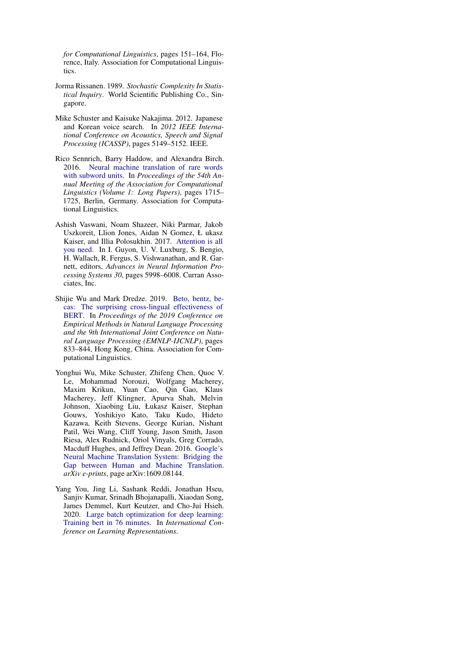*for Computational Linguistics*, pages 151–164, Florence, Italy. Association for Computational Linguistics.

- <span id="page-6-5"></span>Jorma Rissanen. 1989. *Stochastic Complexity In Statistical Inquiry*. World Scientific Publishing Co., Singapore.
- <span id="page-6-0"></span>Mike Schuster and Kaisuke Nakajima. 2012. Japanese and Korean voice search. In *2012 IEEE International Conference on Acoustics, Speech and Signal Processing (ICASSP)*, pages 5149–5152. IEEE.
- <span id="page-6-2"></span>Rico Sennrich, Barry Haddow, and Alexandra Birch. 2016. [Neural machine translation of rare words](https://doi.org/10.18653/v1/P16-1162) [with subword units.](https://doi.org/10.18653/v1/P16-1162) In *Proceedings of the 54th Annual Meeting of the Association for Computational Linguistics (Volume 1: Long Papers)*, pages 1715– 1725, Berlin, Germany. Association for Computational Linguistics.
- <span id="page-6-4"></span>Ashish Vaswani, Noam Shazeer, Niki Parmar, Jakob Uszkoreit, Llion Jones, Aidan N Gomez, Ł ukasz Kaiser, and Illia Polosukhin. 2017. [Attention is all](http://papers.nips.cc/paper/7181-attention-is-all-you-need.pdf) [you need.](http://papers.nips.cc/paper/7181-attention-is-all-you-need.pdf) In I. Guyon, U. V. Luxburg, S. Bengio, H. Wallach, R. Fergus, S. Vishwanathan, and R. Garnett, editors, *Advances in Neural Information Processing Systems 30*, pages 5998–6008. Curran Associates, Inc.
- <span id="page-6-3"></span>Shijie Wu and Mark Dredze. 2019. [Beto, bentz, be](https://doi.org/10.18653/v1/D19-1077)[cas: The surprising cross-lingual effectiveness of](https://doi.org/10.18653/v1/D19-1077) [BERT.](https://doi.org/10.18653/v1/D19-1077) In *Proceedings of the 2019 Conference on Empirical Methods in Natural Language Processing and the 9th International Joint Conference on Natural Language Processing (EMNLP-IJCNLP)*, pages 833–844, Hong Kong, China. Association for Computational Linguistics.
- <span id="page-6-1"></span>Yonghui Wu, Mike Schuster, Zhifeng Chen, Quoc V. Le, Mohammad Norouzi, Wolfgang Macherey, Maxim Krikun, Yuan Cao, Qin Gao, Klaus Macherey, Jeff Klingner, Apurva Shah, Melvin Johnson, Xiaobing Liu, Łukasz Kaiser, Stephan Gouws, Yoshikiyo Kato, Taku Kudo, Hideto Kazawa, Keith Stevens, George Kurian, Nishant Patil, Wei Wang, Cliff Young, Jason Smith, Jason Riesa, Alex Rudnick, Oriol Vinyals, Greg Corrado, Macduff Hughes, and Jeffrey Dean. 2016. [Google's](http://arxiv.org/abs/1609.08144) [Neural Machine Translation System: Bridging the](http://arxiv.org/abs/1609.08144) [Gap between Human and Machine Translation.](http://arxiv.org/abs/1609.08144) *arXiv e-prints*, page arXiv:1609.08144.
- <span id="page-6-6"></span>Yang You, Jing Li, Sashank Reddi, Jonathan Hseu, Sanjiv Kumar, Srinadh Bhojanapalli, Xiaodan Song, James Demmel, Kurt Keutzer, and Cho-Jui Hsieh. 2020. [Large batch optimization for deep learning:](https://openreview.net/forum?id=Syx4wnEtvH) [Training bert in 76 minutes.](https://openreview.net/forum?id=Syx4wnEtvH) In *International Conference on Learning Representations*.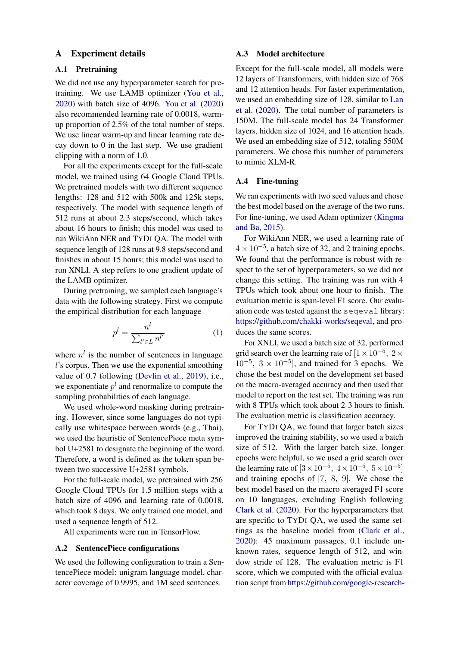## <span id="page-7-0"></span>A Experiment details

## A.1 Pretraining

We did not use any hyperparameter search for pretraining. We use LAMB optimizer [\(You et al.,](#page-6-6) [2020\)](#page-6-6) with batch size of 4096. [You et al.](#page-6-6) [\(2020\)](#page-6-6) also recommended learning rate of 0.0018, warmup proportion of 2.5% of the total number of steps. We use linear warm-up and linear learning rate decay down to 0 in the last step. We use gradient clipping with a norm of 1.0.

For all the experiments except for the full-scale model, we trained using 64 Google Cloud TPUs. We pretrained models with two different sequence lengths: 128 and 512 with 500k and 125k steps, respectively. The model with sequence length of 512 runs at about 2.3 steps/second, which takes about 16 hours to finish; this model was used to run WikiAnn NER and TYDI QA. The model with sequence length of 128 runs at 9.8 steps/second and finishes in about 15 hours; this model was used to run XNLI. A step refers to one gradient update of the LAMB optimizer.

During pretraining, we sampled each language's data with the following strategy. First we compute the empirical distribution for each language

$$
p^l = \frac{n^l}{\sum_{l' \in L} n^{l'}}\tag{1}
$$

where  $n^l$  is the number of sentences in language l's corpus. Then we use the exponential smoothing value of 0.7 following [\(Devlin et al.,](#page-5-0) [2019\)](#page-5-0), i.e., we exponentiate  $p^{l}$  and renormalize to compute the sampling probabilities of each language.

We used whole-word masking during pretraining. However, since some languages do not typically use whitespace between words (e.g., Thai), we used the heuristic of SentencePiece meta symbol U+2581 to designate the beginning of the word. Therefore, a word is defined as the token span between two successive U+2581 symbols.

For the full-scale model, we pretrained with 256 Google Cloud TPUs for 1.5 million steps with a batch size of 4096 and learning rate of 0.0018, which took 8 days. We only trained one model, and used a sequence length of 512.

All experiments were run in TensorFlow.

#### A.2 SentencePiece configurations

We used the following configuration to train a SentencePiece model: unigram language model, character coverage of 0.9995, and 1M seed sentences.

#### A.3 Model architecture

Except for the full-scale model, all models were 12 layers of Transformers, with hidden size of 768 and 12 attention heads. For faster experimentation, we used an embedding size of 128, similar to [Lan](#page-5-15) [et al.](#page-5-15) [\(2020\)](#page-5-15). The total number of parameters is 150M. The full-scale model has 24 Transformer layers, hidden size of 1024, and 16 attention heads. We used an embedding size of 512, totaling 550M parameters. We chose this number of parameters to mimic XLM-R.

## A.4 Fine-tuning

We ran experiments with two seed values and chose the best model based on the average of the two runs. For fine-tuning, we used Adam optimizer [\(Kingma](#page-5-16) [and Ba,](#page-5-16) [2015\)](#page-5-16).

For WikiAnn NER, we used a learning rate of  $4 \times 10^{-5}$ , a batch size of 32, and 2 training epochs. We found that the performance is robust with respect to the set of hyperparameters, so we did not change this setting. The training was run with 4 TPUs which took about one hour to finish. The evaluation metric is span-level F1 score. Our evaluation code was tested against the seqeval library: [https://github.com/chakki-works/seqeval,](https://github.com/chakki-works/seqeval) and produces the same scores.

For XNLI, we used a batch size of 32, performed grid search over the learning rate of  $[1 \times 10^{-5}, 2 \times$  $10^{-5}$ ,  $3 \times 10^{-5}$ ], and trained for 3 epochs. We chose the best model on the development set based on the macro-averaged accuracy and then used that model to report on the test set. The training was run with 8 TPUs which took about 2-3 hours to finish. The evaluation metric is classification accuracy.

For TYDI QA, we found that larger batch sizes improved the training stability, so we used a batch size of 512. With the larger batch size, longer epochs were helpful, so we used a grid search over the learning rate of  $[3 \times 10^{-5}, 4 \times 10^{-5}, 5 \times 10^{-5}]$ and training epochs of [7, 8, 9]. We chose the best model based on the macro-averaged F1 score on 10 languages, excluding English following [Clark et al.](#page-5-9) [\(2020\)](#page-5-9). For the hyperparameters that are specific to TYDI QA, we used the same settings as the baseline model from [\(Clark et al.,](#page-5-9) [2020\)](#page-5-9): 45 maximum passages, 0.1 include unknown rates, sequence length of 512, and window stride of 128. The evaluation metric is F1 score, which we computed with the official evaluation script from [https://github.com/google-research-](https://github.com/google-research-datasets/tydiqa)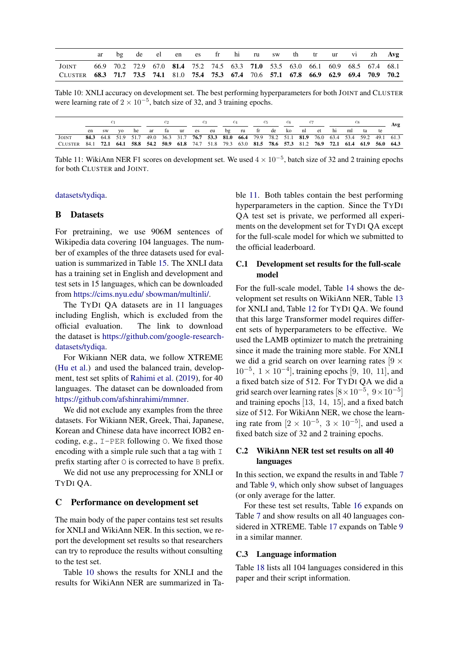<span id="page-8-0"></span>

|                                                                                         |  | de |  |  |  |  |                                                                                 |  | el en es fr hi ru sw th tr ur vi zh Avg |
|-----------------------------------------------------------------------------------------|--|----|--|--|--|--|---------------------------------------------------------------------------------|--|-----------------------------------------|
| <b>JOINT</b>                                                                            |  |    |  |  |  |  | 66.9 70.2 72.9 67.0 81.4 75.2 74.5 63.3 71.0 53.5 63.0 66.1 60.9 68.5 67.4 68.1 |  |                                         |
| CLUSTER 68.3 71.7 73.5 74.1 81.0 75.4 75.3 67.4 70.6 57.1 67.8 66.9 62.9 69.4 70.9 70.2 |  |    |  |  |  |  |                                                                                 |  |                                         |

Table 10: XNLI accuracy on development set. The best performing hyperparameters for both JOINT and CLUSTER were learning rate of  $2 \times 10^{-5}$ , batch size of 32, and 3 training epochs.

<span id="page-8-1"></span>

|                                                                                                                  |       |    |  |  |  |  |  |  | $c_6$ |  |  |  |  |                                                                                                          |  | Avg |  |
|------------------------------------------------------------------------------------------------------------------|-------|----|--|--|--|--|--|--|-------|--|--|--|--|----------------------------------------------------------------------------------------------------------|--|-----|--|
|                                                                                                                  | en sw | VQ |  |  |  |  |  |  |       |  |  |  |  | he ar fa ur es eu bg ru fr de ko nl et hi ml ta                                                          |  | te  |  |
| <b>JOINT</b>                                                                                                     |       |    |  |  |  |  |  |  |       |  |  |  |  | 84.3 64.8 51.9 51.7 49.0 36.3 31.7 76.7 53.3 81.0 66.4 79.9 78.2 51.1 81.9 76.0 63.4 53.4 59.2 49.1 61.3 |  |     |  |
| CLUSTER 84.1 72.1 64.1 58.8 54.2 50.9 61.8 74.7 51.8 79.3 63.0 81.5 78.6 57.3 81.2 76.9 72.1 61.4 61.9 56.0 64.3 |       |    |  |  |  |  |  |  |       |  |  |  |  |                                                                                                          |  |     |  |

Table 11: WikiAnn NER F1 scores on development set. We used  $4 \times 10^{-5}$ , batch size of 32 and 2 training epochs for both CLUSTER and JOINT.

#### [datasets/tydiqa.](https://github.com/google-research-datasets/tydiqa)

## B Datasets

For pretraining, we use 906M sentences of Wikipedia data covering 104 languages. The number of examples of the three datasets used for evaluation is summarized in Table [15.](#page-9-0) The XNLI data has a training set in English and development and test sets in 15 languages, which can be downloaded from [https://cims.nyu.edu/ sbowman/multinli/.](https://cims.nyu.edu/~sbowman/multinli/)

The TYDI QA datasets are in 11 languages including English, which is excluded from the official evaluation. The link to download the dataset is [https://github.com/google-research](https://github.com/google-research-datasets/tydiqa#download-the-dataset)[datasets/tydiqa.](https://github.com/google-research-datasets/tydiqa#download-the-dataset)

For Wikiann NER data, we follow XTREME [\(Hu et al.\)](#page-5-14) and used the balanced train, development, test set splits of [Rahimi et al.](#page-5-17) [\(2019\)](#page-5-17), for 40 languages. The dataset can be downloaded from [https://github.com/afshinrahimi/mmner.](https://github.com/afshinrahimi/mmner)

We did not exclude any examples from the three datasets. For Wikiann NER, Greek, Thai, Japanese, Korean and Chinese data have incorrect IOB2 encoding, e.g., I-PER following O. We fixed those encoding with a simple rule such that a tag with  $I$ prefix starting after  $\circ$  is corrected to have  $\circ$  prefix.

We did not use any preprocessing for XNLI or TYDI QA.

#### C Performance on development set

The main body of the paper contains test set results for XNLI and WikiAnn NER. In this section, we report the development set results so that researchers can try to reproduce the results without consulting to the test set.

Table [10](#page-8-0) shows the results for XNLI and the results for WikiAnn NER are summarized in Table [11.](#page-8-1) Both tables contain the best performing hyperparameters in the caption. Since the TYDI QA test set is private, we performed all experiments on the development set for TYDI QA except for the full-scale model for which we submitted to the official leaderboard.

## C.1 Development set results for the full-scale model

For the full-scale model, Table [14](#page-9-1) shows the development set results on WikiAnn NER, Table [13](#page-9-2) for XNLI and, Table [12](#page-9-3) for TYDI QA. We found that this large Transformer model requires different sets of hyperparameters to be effective. We used the LAMB optimizer to match the pretraining since it made the training more stable. For XNLI we did a grid search on over learning rates  $[9 \times$  $10^{-5}$ ,  $1 \times 10^{-4}$ ], training epochs [9, 10, 11], and a fixed batch size of 512. For TYDI QA we did a grid search over learning rates  $[8 \times 10^{-5}, 9 \times 10^{-5}]$ and training epochs [13, 14, 15], and a fixed batch size of 512. For WikiAnn NER, we chose the learning rate from  $[2 \times 10^{-5}, 3 \times 10^{-5}]$ , and used a fixed batch size of 32 and 2 training epochs.

## C.2 WikiAnn NER test set results on all 40 languages

In this section, we expand the results in and Table [7](#page-4-0) and Table [9,](#page-4-3) which only show subset of languages (or only average for the latter.

For these test set results, Table [16](#page-9-4) expands on Table [7](#page-4-0) and show results on all 40 languages considered in XTREME. Table [17](#page-9-5) expands on Table [9](#page-4-3) in a similar manner.

#### C.3 Language information

Table [18](#page-10-0) lists all 104 languages considered in this paper and their script information.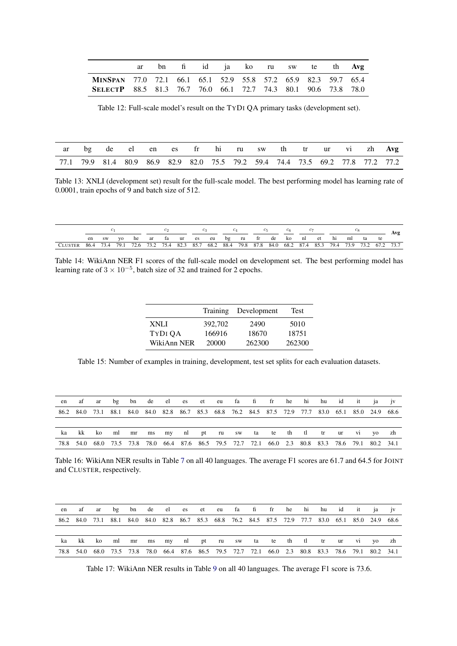<span id="page-9-3"></span>

|                                                                       |  |  |  |  | ar bn fi id ja ko ru sw te th Avg |  |
|-----------------------------------------------------------------------|--|--|--|--|-----------------------------------|--|
| MINSPAN 77.0 72.1 66.1 65.1 52.9 55.8 57.2 65.9 82.3 59.7 65.4        |  |  |  |  |                                   |  |
| <b>SELECTP</b> 88.5 81.3 76.7 76.0 66.1 72.7 74.3 80.1 90.6 73.8 78.0 |  |  |  |  |                                   |  |

Table 12: Full-scale model's result on the TYDI QA primary tasks (development set).

<span id="page-9-2"></span>

|  |  |  |  |  |  |  | ar bg de el en es fr hi ru sw th tr ur vi zh Avg                                |
|--|--|--|--|--|--|--|---------------------------------------------------------------------------------|
|  |  |  |  |  |  |  | 77.1 79.9 81.4 80.9 86.9 82.9 82.0 75.5 79.2 59.4 74.4 73.5 69.2 77.8 77.2 77.2 |

Table 13: XNLI (development set) result for the full-scale model. The best performing model has learning rate of 0.0001, train epochs of 9 and batch size of 512.

<span id="page-9-1"></span>

|                                                                                                                  |  |  |  |  |  |  |  |  |  | C6. |  |                                                         |  |  |  |  |    |  |
|------------------------------------------------------------------------------------------------------------------|--|--|--|--|--|--|--|--|--|-----|--|---------------------------------------------------------|--|--|--|--|----|--|
|                                                                                                                  |  |  |  |  |  |  |  |  |  |     |  | en swyo he ar fa ur es eu bg ru fr de ko nl et hi ml ta |  |  |  |  | te |  |
| CLUSTER 86.4 73.4 79.1 72.6 73.2 75.4 82.3 85.7 68.2 88.4 79.8 87.8 84.0 68.2 87.4 85.3 79.4 73.9 73.2 67.2 73.7 |  |  |  |  |  |  |  |  |  |     |  |                                                         |  |  |  |  |    |  |

<span id="page-9-0"></span>Table 14: WikiAnn NER F1 scores of the full-scale model on development set. The best performing model has learning rate of  $3 \times 10^{-5}$ , batch size of 32 and trained for 2 epochs.

|             | Training | Development | Test   |
|-------------|----------|-------------|--------|
| XNLI        | 392,702  | 2490        | 5010   |
| TYDI QA     | 166916   | 18670       | 18751  |
| WikiAnn NER | 20000    | 262300      | 262300 |

Table 15: Number of examples in training, development, test set splits for each evaluation datasets.

<span id="page-9-4"></span>

|    |  |  |  |  |  | en af ar bg bn de el es et eu fa fi fr he hi hu id it ja jv                                         |  |  |  |  |
|----|--|--|--|--|--|-----------------------------------------------------------------------------------------------------|--|--|--|--|
|    |  |  |  |  |  | 86.2 84.0 73.1 88.1 84.0 84.0 82.8 86.7 85.3 68.8 76.2 84.5 87.5 72.9 77.7 83.0 65.1 85.0 24.9 68.6 |  |  |  |  |
|    |  |  |  |  |  |                                                                                                     |  |  |  |  |
| ka |  |  |  |  |  | kk komlmrns mynlpt rusw tate the tler ur vi yozh                                                    |  |  |  |  |
|    |  |  |  |  |  | 78.8 54.0 68.0 73.5 73.8 78.0 66.4 87.6 86.5 79.5 72.7 72.1 66.0 2.3 80.8 83.3 78.6 79.1 80.2 34.1  |  |  |  |  |

Table 16: WikiAnn NER results in Table [7](#page-4-0) on all 40 languages. The average F1 scores are 61.7 and 64.5 for JOINT and CLUSTER, respectively.

<span id="page-9-5"></span>

| en |  |  |  |  |  | af ar bg bn de el es et eu fa fi fr he hi hu id it ja jv                                            |  |  |  |  |
|----|--|--|--|--|--|-----------------------------------------------------------------------------------------------------|--|--|--|--|
|    |  |  |  |  |  | 86.2 84.0 73.1 88.1 84.0 84.0 82.8 86.7 85.3 68.8 76.2 84.5 87.5 72.9 77.7 83.0 65.1 85.0 24.9 68.6 |  |  |  |  |
|    |  |  |  |  |  |                                                                                                     |  |  |  |  |
| ka |  |  |  |  |  | kk komlmrns mynlpt rusw ta te thitlitr ur vi yozh                                                   |  |  |  |  |
|    |  |  |  |  |  | 78.8 54.0 68.0 73.5 73.8 78.0 66.4 87.6 86.5 79.5 72.7 72.1 66.0 2.3 80.8 83.3 78.6 79.1 80.2 34.1  |  |  |  |  |

Table 17: WikiAnn NER results in Table [9](#page-4-3) on all 40 languages. The average F1 score is 73.6.